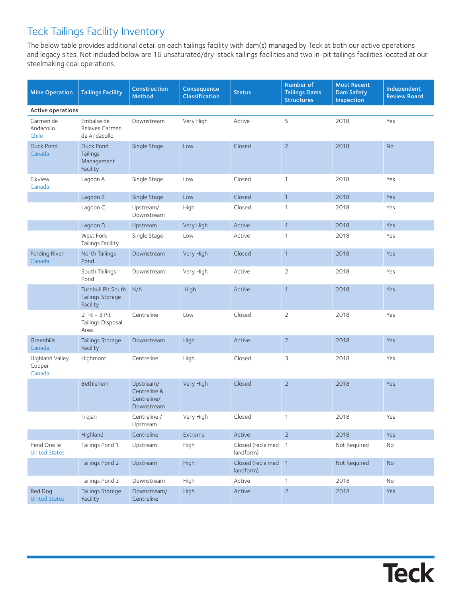## Teck Tailings Facility Inventory

The below table provides additional detail on each tailings facility with dam(s) managed by Teck at both our active operations and legacy sites. Not included below are 16 unsaturated/dry-stack tailings facilities and two in-pit tailings facilities located at our steelmaking coal operations.

| <b>Mine Operation</b>                | <b>Tailings Facility</b>                           | Construction<br>Method                                 | Consequence<br>Classification | <b>Status</b>                    | Number of<br><b>Tailings Dams</b><br><b>Structures</b> | <b>Most Recent</b><br><b>Dam Safety</b><br>Inspection | Independent<br><b>Review Board</b> |  |  |  |  |
|--------------------------------------|----------------------------------------------------|--------------------------------------------------------|-------------------------------|----------------------------------|--------------------------------------------------------|-------------------------------------------------------|------------------------------------|--|--|--|--|
| Active operations                    |                                                    |                                                        |                               |                                  |                                                        |                                                       |                                    |  |  |  |  |
| Carmen de<br>Andacollo<br>Chile      | Embalse de<br>Relaves Carmen<br>de Andacollo       | Downstream                                             | Very High                     | Active                           | 5                                                      | 2018                                                  | Yes                                |  |  |  |  |
| Duck Pond<br>Canada                  | Duck Pond<br>Tailings<br>Management<br>Facility    | Single Stage                                           | Low                           | Closed                           | $\overline{2}$                                         | 2018                                                  | <b>No</b>                          |  |  |  |  |
| Elkview<br>Canada                    | Lagoon A                                           | Single Stage                                           | Low                           | Closed                           | 1                                                      | 2018                                                  | Yes                                |  |  |  |  |
|                                      | Lagoon B                                           | Single Stage                                           | Low                           | Closed                           | $\mathbf{1}$                                           | 2018                                                  | Yes                                |  |  |  |  |
|                                      | Lagoon C                                           | Upstream/<br>Downstream                                | High                          | Closed                           | 1                                                      | 2018                                                  | Yes                                |  |  |  |  |
|                                      | Lagoon D                                           | Upstream                                               | Very High                     | Active                           | $\mathbf{1}$                                           | 2018                                                  | Yes                                |  |  |  |  |
|                                      | West Fork<br>Tailings Facility                     | Single Stage                                           | Low                           | Active                           | 1                                                      | 2018                                                  | Yes                                |  |  |  |  |
| Fording River<br>Canada              | North Tailings<br>Pond                             | Downstream                                             | Very High                     | Closed                           | $\mathbf{1}$                                           | 2018                                                  | Yes                                |  |  |  |  |
|                                      | South Tailings<br>Pond                             | Downstream                                             | Very High                     | Active                           | $\overline{2}$                                         | 2018                                                  | Yes                                |  |  |  |  |
|                                      | Turnbull Pit South<br>Tailings Storage<br>Facility | N/A                                                    | High                          | Active                           | $\mathbf{1}$                                           | 2018                                                  | Yes                                |  |  |  |  |
|                                      | 2 Pit - 3 Pit<br>Tailings Disposal<br>Area         | Centreline                                             | Low                           | Closed                           | $\overline{2}$                                         | 2018                                                  | Yes                                |  |  |  |  |
| Greenhills<br>Canada                 | Tailings Storage<br>Facility                       | Downstream                                             | High                          | Active                           | $\sqrt{2}$                                             | 2018                                                  | Yes                                |  |  |  |  |
| Highland Valley<br>Copper<br>Canada  | Highmont                                           | Centreline                                             | High                          | Closed                           | 3                                                      | 2018                                                  | Yes                                |  |  |  |  |
|                                      | Bethlehem                                          | Upstream/<br>Centreline &<br>Centreline/<br>Downstream | Very High                     | Closed                           | $\overline{2}$                                         | 2018                                                  | Yes                                |  |  |  |  |
|                                      | Trojan                                             | Centreline /<br>Upstream                               | Very High                     | Closed                           | 1                                                      | 2018                                                  | Yes                                |  |  |  |  |
|                                      | Highland                                           | Centreline                                             | Extreme                       | Active                           | $\overline{2}$                                         | 2018                                                  | Yes                                |  |  |  |  |
| Pend Oreille<br><b>United States</b> | Tailings Pond 1                                    | Upstream                                               | High                          | Closed (reclaimed 1<br>landform) |                                                        | Not Required                                          | No                                 |  |  |  |  |
|                                      | Tailings Pond 2                                    | Upstream                                               | High                          | Closed (reclaimed 1<br>landform) |                                                        | Not Required                                          | <b>No</b>                          |  |  |  |  |
|                                      | Tailings Pond 3                                    | Downstream                                             | High                          | Active                           | 1                                                      | 2018                                                  | No                                 |  |  |  |  |
| Red Dog<br><b>United States</b>      | Tailings Storage<br>Facility                       | Downstream/<br>Centreline                              | High                          | Active                           | $\sqrt{2}$                                             | 2018                                                  | Yes                                |  |  |  |  |